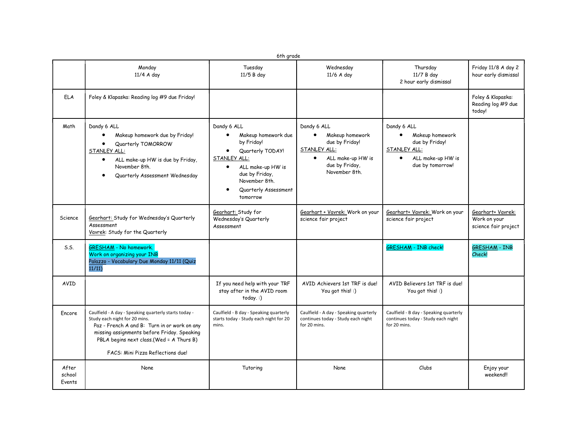|                           | 6th grade                                                                                                                                                                                                                                                              |                                                                                                                                                                                                            |                                                                                                                                       |                                                                                                                        |                                                           |  |  |  |  |
|---------------------------|------------------------------------------------------------------------------------------------------------------------------------------------------------------------------------------------------------------------------------------------------------------------|------------------------------------------------------------------------------------------------------------------------------------------------------------------------------------------------------------|---------------------------------------------------------------------------------------------------------------------------------------|------------------------------------------------------------------------------------------------------------------------|-----------------------------------------------------------|--|--|--|--|
|                           | Monday<br>11/4 A day                                                                                                                                                                                                                                                   | Tuesday<br>11/5 B day                                                                                                                                                                                      | Wednesday<br>11/6 A day                                                                                                               | Thursday<br>11/7 B day<br>2 hour early dismissal                                                                       | Friday 11/8 A day 2<br>hour early dismissal               |  |  |  |  |
| <b>ELA</b>                | Foley & Klapaska: Reading log #9 due Friday!                                                                                                                                                                                                                           |                                                                                                                                                                                                            |                                                                                                                                       |                                                                                                                        | Foley & Klapaska:<br>Reading log #9 due<br>today!         |  |  |  |  |
| Math                      | Dandy 6 ALL<br>Makeup homework due by Friday!<br>Quarterly TOMORROW<br>STANLEY ALL:<br>ALL make-up HW is due by Friday,<br>$\bullet$<br>November 8th.<br>Quarterly Assessment Wednesday                                                                                | Dandy 6 ALL<br>Makeup homework due<br>by Friday!<br>Quarterly TODAY!<br>$\bullet$<br>STANLEY ALL:<br>ALL make-up HW is<br>$\bullet$<br>due by Friday,<br>November 8th.<br>Quarterly Assessment<br>tomorrow | Dandy 6 ALL<br>Makeup homework<br>due by Friday!<br>STANLEY ALL:<br>ALL make-up HW is<br>$\bullet$<br>due by Friday,<br>November 8th. | Dandy 6 ALL<br>Makeup homework<br>due by Friday!<br>STANLEY ALL:<br>ALL make-up HW is<br>$\bullet$<br>due by tomorrow! |                                                           |  |  |  |  |
| Science                   | Gearhart: Study for Wednesday's Quarterly<br>Assessment<br>Vavrek: Study for the Quarterly                                                                                                                                                                             | Gearhart: Study for<br>Wednesday's Quarterly<br>Assessment                                                                                                                                                 | Gearhart + Vavrek: Work on your<br>science fair project                                                                               | Gearhart+ Vavrek: Work on your<br>science fair project                                                                 | Gearhart+ Vavrek:<br>Work on your<br>science fair project |  |  |  |  |
| S.S.                      | <b>GRESHAM</b> - No homework.<br>Work on organizing your INB<br>Palazzo - Vocabulary Due Monday 11/11 (Quiz<br>11/11)                                                                                                                                                  |                                                                                                                                                                                                            |                                                                                                                                       | <b>GRESHAM - INB check!</b>                                                                                            | <b>GRESHAM - INB</b><br>Check!                            |  |  |  |  |
| AVID                      |                                                                                                                                                                                                                                                                        | If you need help with your TRF<br>stay after in the AVID room<br>today.:                                                                                                                                   |                                                                                                                                       | AVID Believers 1st TRF is due!<br>You got this! :)                                                                     |                                                           |  |  |  |  |
| Encore                    | Caulfield - A day - Speaking quarterly starts today -<br>Study each night for 20 mins.<br>Paz - French A and B: Turn in or work on any<br>missing assignments before Friday. Speaking<br>PBLA begins next class.(Wed = A Thurs B)<br>FACS: Mini Pizza Reflections due! | Caulfield - B day - Speaking quarterly<br>starts today - Study each night for 20<br>mins.                                                                                                                  | Caulfield - A day - Speaking quarterly<br>continues today - Study each night<br>for 20 mins.                                          | Caulfield - B day - Speaking quarterly<br>continues today - Study each night<br>for 20 mins.                           |                                                           |  |  |  |  |
| After<br>school<br>Events | None                                                                                                                                                                                                                                                                   | Tutoring                                                                                                                                                                                                   | None                                                                                                                                  | Clubs                                                                                                                  | Enjoy your<br>weekend!!                                   |  |  |  |  |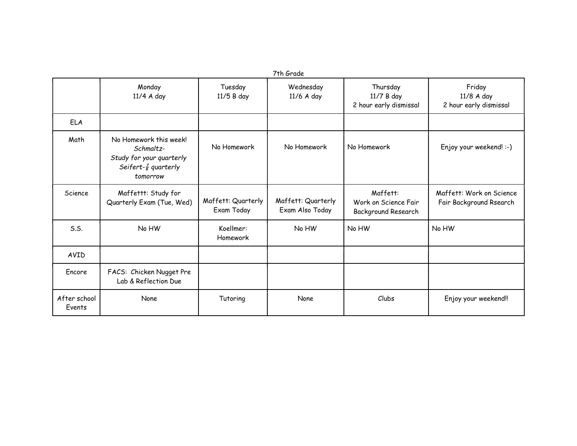| 7th Grade              |                                                                                                                 |                                  |                                       |                                                                |                                                     |  |  |  |
|------------------------|-----------------------------------------------------------------------------------------------------------------|----------------------------------|---------------------------------------|----------------------------------------------------------------|-----------------------------------------------------|--|--|--|
|                        | Monday<br>11/4 A day                                                                                            | Tuesday<br>11/5 B day            | Wednesday<br>11/6 A day               | Thursday<br>11/7 B day<br>2 hour early dismissal               | Friday<br>11/8 A day<br>2 hour early dismissal      |  |  |  |
| <b>ELA</b>             |                                                                                                                 |                                  |                                       |                                                                |                                                     |  |  |  |
| Math                   | No Homework this week!<br>Schmaltz-<br>Study for your quarterly<br>Seifert- $\frac{7}{8}$ quarterly<br>tomorrow | No Homework                      | No Homework                           | No Homework                                                    | Enjoy your weekend! :-)                             |  |  |  |
| Science                | Maffettt: Study for<br>Quarterly Exam (Tue, Wed)                                                                | Maffett: Quarterly<br>Exam Today | Maffett: Quarterly<br>Exam Also Today | Maffett:<br>Work on Science Fair<br><b>Background Research</b> | Maffett: Work on Science<br>Fair Background Rsearch |  |  |  |
| S.S.                   | No HW                                                                                                           | Koellmer:<br>Homework            | No HW                                 | No HW                                                          | No HW                                               |  |  |  |
| AVID                   |                                                                                                                 |                                  |                                       |                                                                |                                                     |  |  |  |
| Encore                 | FACS: Chicken Nugget Pre<br>Lab & Reflection Due                                                                |                                  |                                       |                                                                |                                                     |  |  |  |
| After school<br>Events | None                                                                                                            | Tutoring                         | None                                  | Clubs                                                          | Enjoy your weekend!!                                |  |  |  |